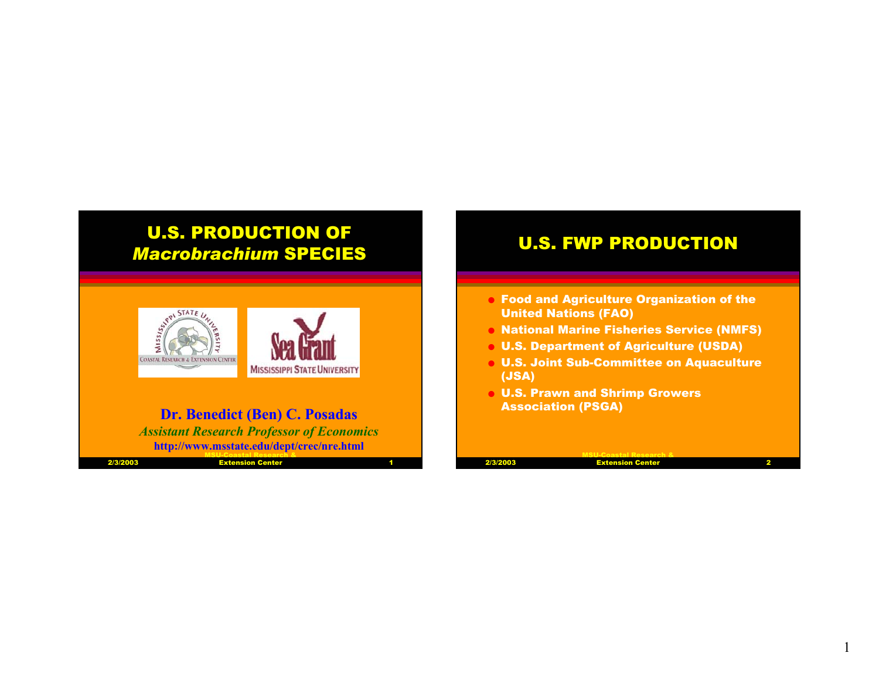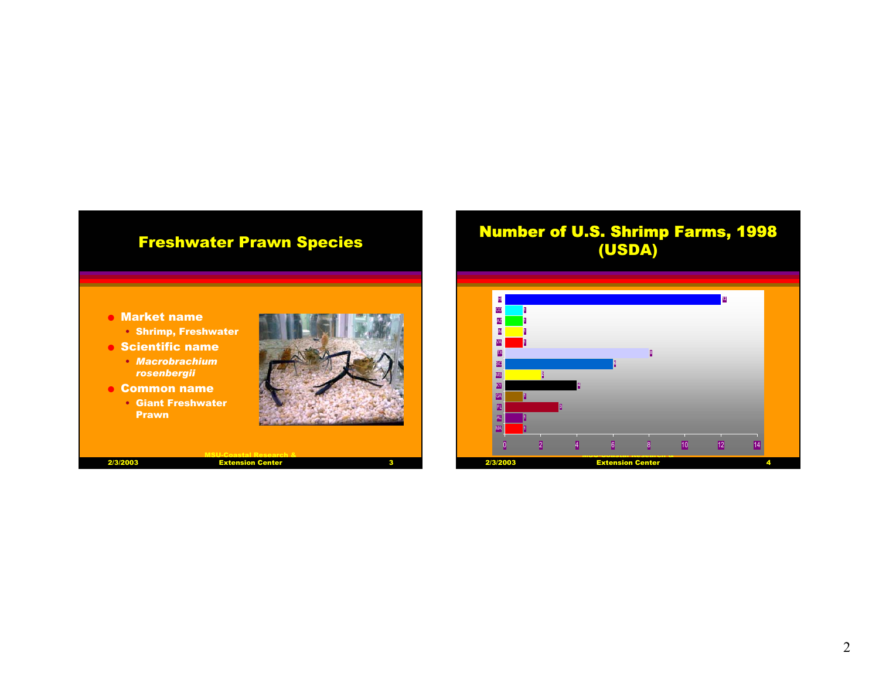# Freshwater Prawn Species

# Number of U.S. Shrimp Farms, 1998 (USDA)



- Shrimp, Freshwater
- $\bullet$  Scientific name
	- *Macrobrachium rosenbergii*
- $\bullet$  Common name
	- Giant Freshwater Prawn



| 2/3/2003 | <b>Extension Center</b> |  |
|----------|-------------------------|--|
|          |                         |  |

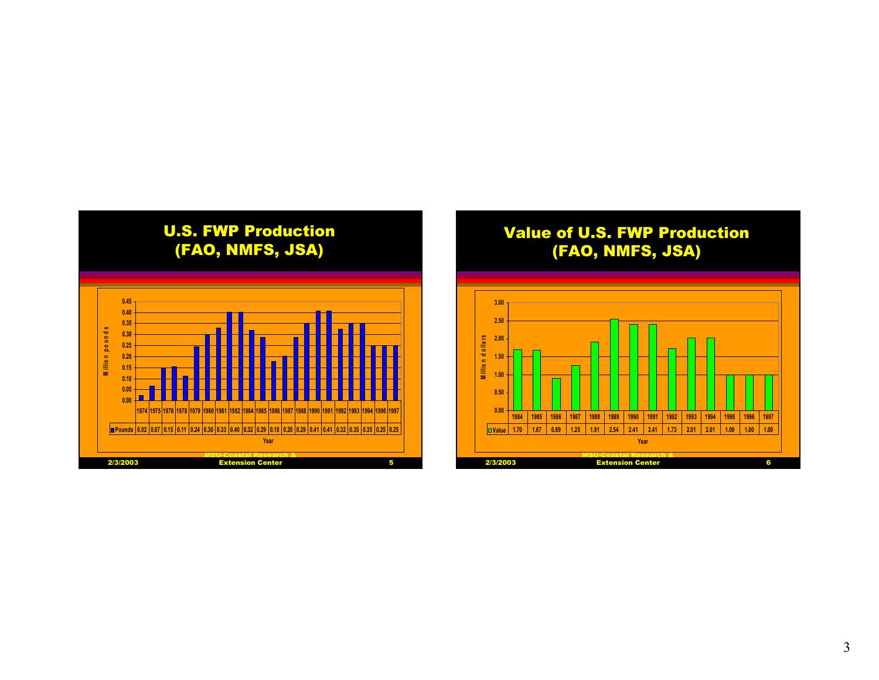

## Value of U.S. FWP Production (FAO, NMFS, JSA)

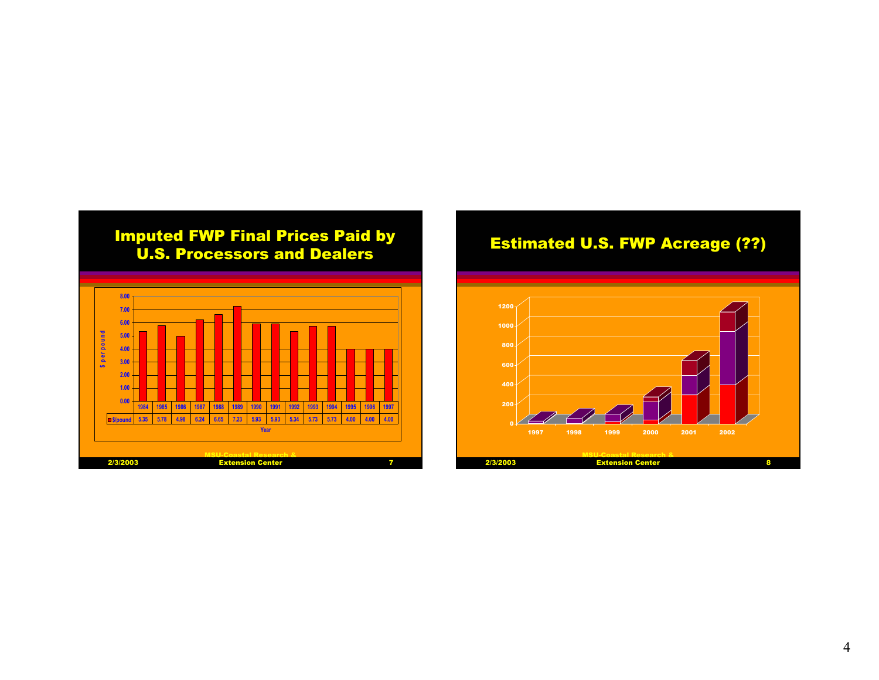

# Estimated U.S. FWP Acreage (??)

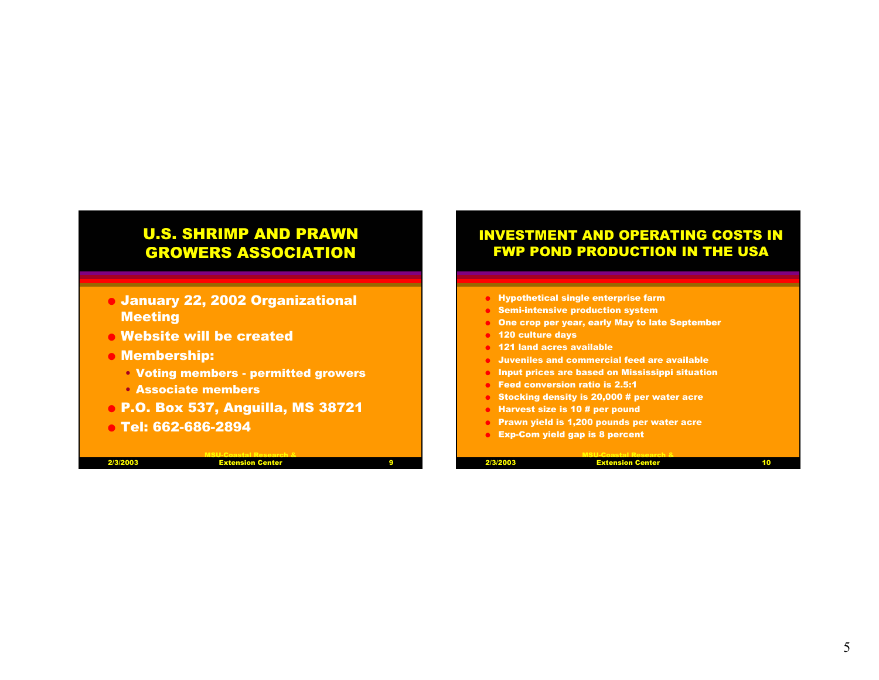# U.S. SHRIMP AND PRAWN GROWERS ASSOCIATION

- O January 22, 2002 Organizational **Meeting**
- $\bullet$  Website will be created
- O Membership:
	- Voting members permitted growers
	- Associate members
- O P.O. Box 537, Anguilla, MS 38721
- O Tel: 662-686-2894

MSU-Coastal Research & **Extension Center** 

### INVESTMENT AND OPERATING COSTS IN FWP POND PRODUCTION IN THE USA

- OHypothetical single enterprise farm
- OSemi-intensive production system
- OOne crop per year, early May to late September
- O120 culture days
- O 121 land acres available
- OJuveniles and commercial feed are available
- **O** Input prices are based on Mississippi situation
- OFeed conversion ratio is 2.5:1
- OStocking density is 20,000 # per water acre
- OHarvest size is 10 # per pound
- OPrawn yield is 1,200 pounds per water acre
- O Exp-Com yield gap is 8 percent

|  | sго |
|--|-----|
|  |     |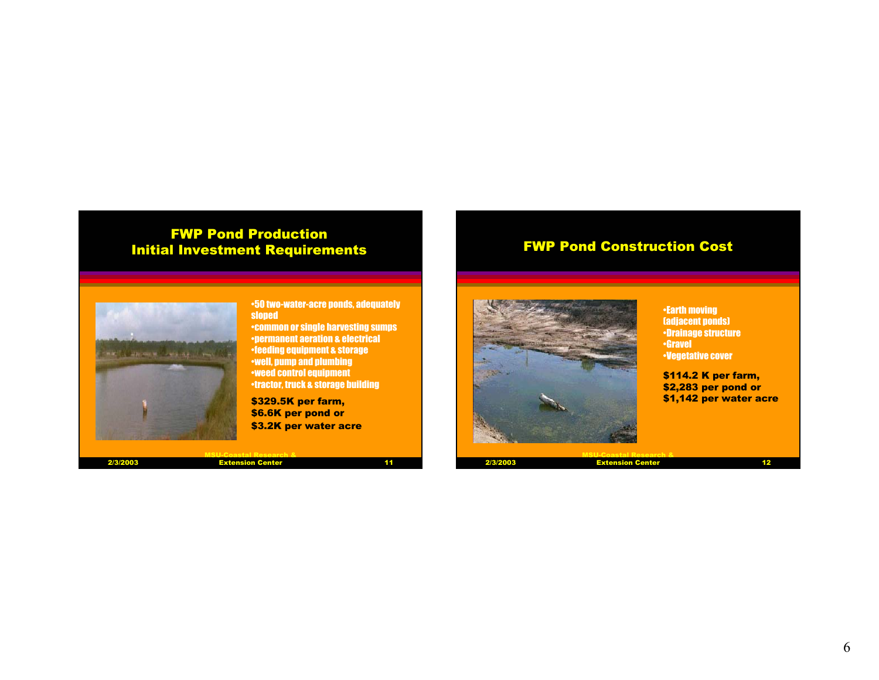### FWP Pond Production Initial Investment Requirements

# MACTER ALBERTARING TO WISH ONLY

•50 two-water-acre ponds, adequately sloped

•common or single harvesting sumps •permanent aeration & electrical •feeding equipment & storage •well, pump and plumbing •weed control equipment •tractor, truck & storage building

\$329.5K per farm, \$6.6K per pond or \$3.2K per water acre

2/3/2003

MSU-Coastal Research & **Extension Center** 

 $11$ 

FWP Pond Construction Cost



•Earth moving (adjacent ponds) •Drainage structure •Gravel•Vegetative cover

\$114.2 K per farm, \$2,283 per pond or \$1,142 per water acre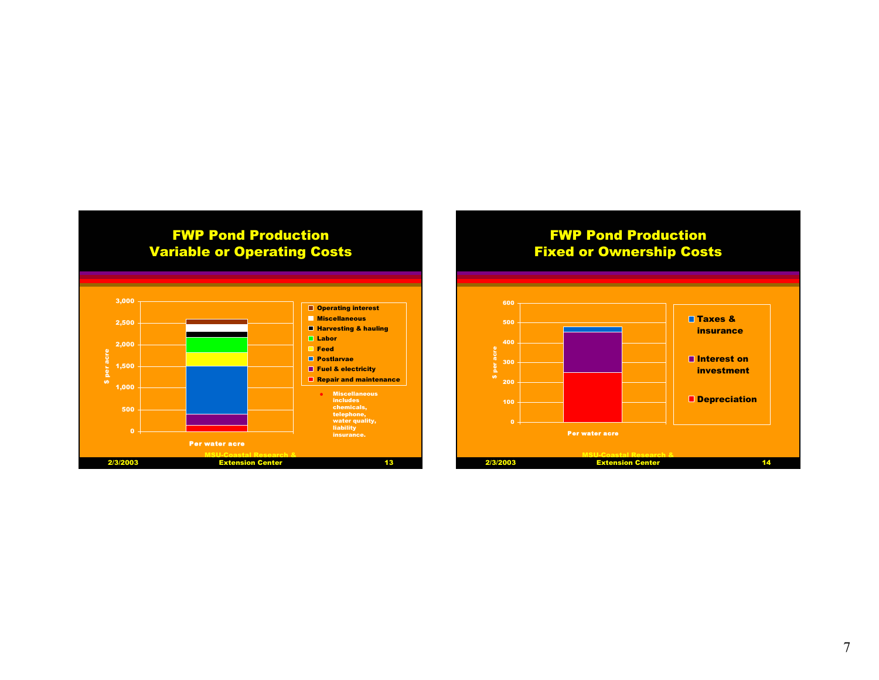

#### FWP Pond Production Fixed or Ownership Costs